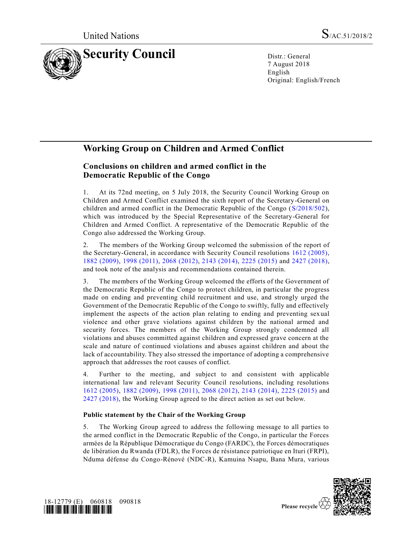

7 August 2018 English Original: English/French

# **Working Group on Children and Armed Conflict**

# **Conclusions on children and armed conflict in the Democratic Republic of the Congo**

1. At its 72nd meeting, on 5 July 2018, the Security Council Working Group on Children and Armed Conflict examined the sixth report of the Secretary-General on children and armed conflict in the Democratic Republic of the Congo [\(S/2018/502\)](https://undocs.org/S/2018/502), which was introduced by the Special Representative of the Secretary-General for Children and Armed Conflict. A representative of the Democratic Republic of the Congo also addressed the Working Group.

2. The members of the Working Group welcomed the submission of the report of the Secretary-General, in accordance with Security Council resolutions [1612 \(2005\),](https://undocs.org/S/RES/1612(2005)) [1882 \(2009\),](https://undocs.org/S/RES/1882(2009)) [1998 \(2011\),](https://undocs.org/S/RES/1998(2011)) [2068 \(2012\),](https://undocs.org/S/RES/2068(2012)) [2143 \(2014\),](https://undocs.org/S/RES/2143(2014)) [2225 \(2015\)](https://undocs.org/S/RES/2225(2015)) and [2427 \(2018\),](https://undocs.org/S/RES/2427(2018)) and took note of the analysis and recommendations contained therein.

3. The members of the Working Group welcomed the efforts of the Government of the Democratic Republic of the Congo to protect children, in particular the progress made on ending and preventing child recruitment and use, and strongly urged the Government of the Democratic Republic of the Congo to swiftly, fully and effectively implement the aspects of the action plan relating to ending and preventing sexual violence and other grave violations against children by the national armed and security forces. The members of the Working Group strongly condemned all violations and abuses committed against children and expressed grave concern at the scale and nature of continued violations and abuses against children and about the lack of accountability. They also stressed the importance of adopting a comprehensive approach that addresses the root causes of conflict.

4. Further to the meeting, and subject to and consistent with applicable international law and relevant Security Council resolutions, including resolutions [1612 \(2005\),](https://undocs.org/S/RES/1612(2005)) [1882 \(2009\),](https://undocs.org/S/RES/1882(2009)) [1998 \(2011\),](https://undocs.org/S/RES/1998(2011)) [2068 \(2012\),](https://undocs.org/S/RES/2068(2012)) [2143 \(2014\),](https://undocs.org/S/RES/2143(2014)) [2225 \(2015\)](https://undocs.org/S/RES/2225(2015)) and [2427 \(2018\),](https://undocs.org/S/RES/2427(2018)) the Working Group agreed to the direct action as set out below.

## **Public statement by the Chair of the Working Group**

5. The Working Group agreed to address the following message to all parties to the armed conflict in the Democratic Republic of the Congo, in particular the Forces armées de la République Démocratique du Congo (FARDC), the Forces démocratiques de libération du Rwanda (FDLR), the Forces de résistance patriotique en Ituri (FRPI), Nduma défense du Congo-Rénové (NDC-R), Kamuina Nsapu, Bana Mura, various



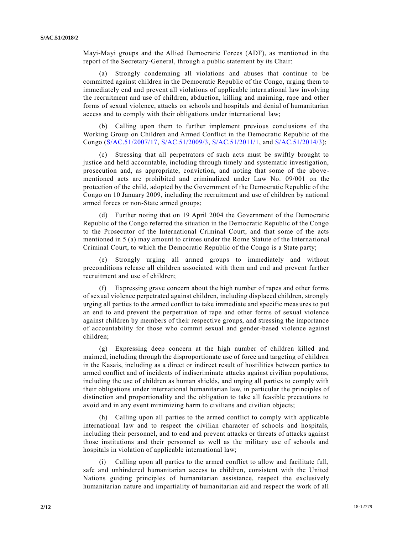Mayi-Mayi groups and the Allied Democratic Forces (ADF), as mentioned in the report of the Secretary-General, through a public statement by its Chair:

(a) Strongly condemning all violations and abuses that continue to be committed against children in the Democratic Republic of the Congo, urging them to immediately end and prevent all violations of applicable international law involving the recruitment and use of children, abduction, killing and maiming, rape and other forms of sexual violence, attacks on schools and hospitals and denial of humanitarian access and to comply with their obligations under international law;

(b) Calling upon them to further implement previous conclusions of the Working Group on Children and Armed Conflict in the Democratic Republic of the Congo [\(S/AC.51/2007/17,](https://undocs.org/S/AC.51/2007/17) [S/AC.51/2009/3,](https://undocs.org/S/AC.51/2009/3) [S/AC.51/2011/1,](https://undocs.org/S/AC.51/2011/1) and [S/AC.51/2014/3\)](https://undocs.org/S/AC.51/2014/3);

Stressing that all perpetrators of such acts must be swiftly brought to justice and held accountable, including through timely and systematic investigation, prosecution and, as appropriate, conviction, and noting that some of the above mentioned acts are prohibited and criminalized under Law No. 09/001 on the protection of the child, adopted by the Government of the Democratic Republic of the Congo on 10 January 2009, including the recruitment and use of children by national armed forces or non-State armed groups;

(d) Further noting that on 19 April 2004 the Government of the Democratic Republic of the Congo referred the situation in the Democratic Republic of the Congo to the Prosecutor of the International Criminal Court, and that some of the acts mentioned in 5 (a) may amount to crimes under the Rome Statute of the Interna tional Criminal Court, to which the Democratic Republic of the Congo is a State party;

(e) Strongly urging all armed groups to immediately and without preconditions release all children associated with them and end and prevent further recruitment and use of children;

(f) Expressing grave concern about the high number of rapes and other forms of sexual violence perpetrated against children, including displaced children, strongly urging all parties to the armed conflict to take immediate and specific measures to put an end to and prevent the perpetration of rape and other forms of sexual violence against children by members of their respective groups, and stressing the importance of accountability for those who commit sexual and gender-based violence against children;

(g) Expressing deep concern at the high number of children killed and maimed, including through the disproportionate use of force and targeting of children in the Kasais, including as a direct or indirect result of hostilities between partie s to armed conflict and of incidents of indiscriminate attacks against civilian populations, including the use of children as human shields, and urging all parties to comply with their obligations under international humanitarian law, in particular the pri nciples of distinction and proportionality and the obligation to take all feasible precautions to avoid and in any event minimizing harm to civilians and civilian objects;

(h) Calling upon all parties to the armed conflict to comply with applicable international law and to respect the civilian character of schools and hospitals, including their personnel, and to end and prevent attacks or threats of attacks against those institutions and their personnel as well as the military use of schools and hospitals in violation of applicable international law;

(i) Calling upon all parties to the armed conflict to allow and facilitate full, safe and unhindered humanitarian access to children, consistent with the United Nations guiding principles of humanitarian assistance, respect the exclusively humanitarian nature and impartiality of humanitarian aid and respect the work of all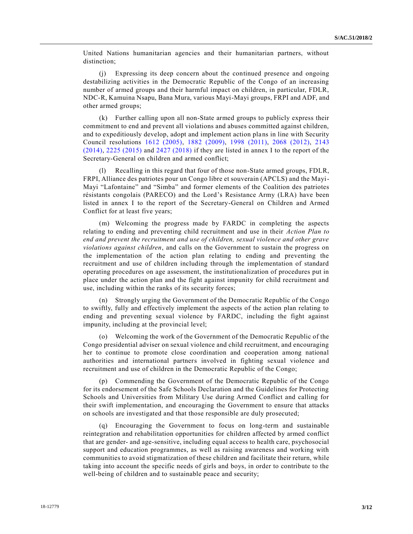United Nations humanitarian agencies and their humanitarian partners, without distinction;

(j) Expressing its deep concern about the continued presence and ongoing destabilizing activities in the Democratic Republic of the Congo of an increasing number of armed groups and their harmful impact on children, in particular, FDLR, NDC-R, Kamuina Nsapu, Bana Mura, various Mayi-Mayi groups, FRPI and ADF, and other armed groups;

(k) Further calling upon all non-State armed groups to publicly express their commitment to end and prevent all violations and abuses committed against children, and to expeditiously develop, adopt and implement action plans in line with Security Council resolutions [1612 \(2005\),](https://undocs.org/S/RES/1612(2005)) [1882 \(2009\),](https://undocs.org/S/RES/1882(2009)) [1998 \(2011\),](https://undocs.org/S/RES/1998(2011)) [2068 \(2012\),](https://undocs.org/S/RES/2068(2012)) [2143](https://undocs.org/S/RES/2143(2014))  [\(2014\),](https://undocs.org/S/RES/2143(2014)) [2225 \(2015\)](https://undocs.org/S/RES/2225(2015)) and [2427 \(2018\)](https://undocs.org/S/RES/2427(2018)) if they are listed in annex I to the report of the Secretary-General on children and armed conflict;

(l) Recalling in this regard that four of those non-State armed groups, FDLR, FRPI, Alliance des patriotes pour un Congo libre et souverain (APCLS) and the Mayi-Mayi "Lafontaine" and "Simba" and former elements of the Coalition des patriotes résistants congolais (PARECO) and the Lord's Resistance Army (LRA) have been listed in annex I to the report of the Secretary-General on Children and Armed Conflict for at least five years;

(m) Welcoming the progress made by FARDC in completing the aspects relating to ending and preventing child recruitment and use in their *Action Plan to end and prevent the recruitment and use of children, sexual violence and other grave violations against children*, and calls on the Government to sustain the progress on the implementation of the action plan relating to ending and preventing the recruitment and use of children including through the implementation of standard operating procedures on age assessment, the institutionalization of procedures put in place under the action plan and the fight against impunity for child recruitment and use, including within the ranks of its security forces;

(n) Strongly urging the Government of the Democratic Republic of the Congo to swiftly, fully and effectively implement the aspects of the action plan relating to ending and preventing sexual violence by FARDC, including the fight against impunity, including at the provincial level;

(o) Welcoming the work of the Government of the Democratic Republic of the Congo presidential adviser on sexual violence and child recruitment, and encouraging her to continue to promote close coordination and cooperation among national authorities and international partners involved in fighting sexual violence and recruitment and use of children in the Democratic Republic of the Congo;

(p) Commending the Government of the Democratic Republic of the Congo for its endorsement of the Safe Schools Declaration and the Guidelines for Protecting Schools and Universities from Military Use during Armed Conflict and calling for their swift implementation, and encouraging the Government to ensure that attacks on schools are investigated and that those responsible are duly prosecuted;

(q) Encouraging the Government to focus on long-term and sustainable reintegration and rehabilitation opportunities for children affected by armed conflict that are gender- and age-sensitive, including equal access to health care, psychosocial support and education programmes, as well as raising awareness and working with communities to avoid stigmatization of these children and facilitate their return, while taking into account the specific needs of girls and boys, in order to contribute to the well-being of children and to sustainable peace and security;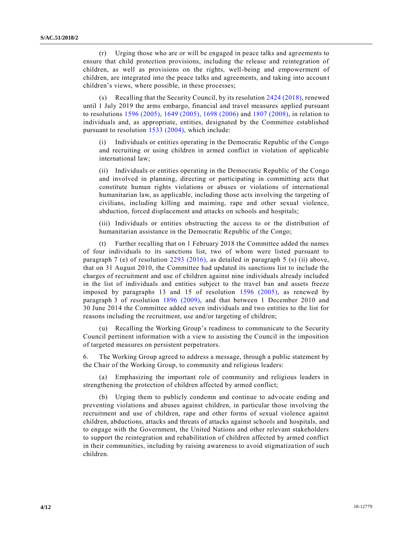(r) Urging those who are or will be engaged in peace talks and agr eements to ensure that child protection provisions, including the release and reintegration of children, as well as provisions on the rights, well-being and empowerment of children, are integrated into the peace talks and agreements, and taking into accoun t children's views, where possible, in these processes;

(s) Recalling that the Security Council, by its resolution [2424 \(2018\),](https://undocs.org/S/RES/2424(2018)) renewed until 1 July 2019 the arms embargo, financial and travel measures applied pursuant to resolutions [1596 \(2005\),](https://undocs.org/S/RES/1596(2005)) [1649 \(2005\),](https://undocs.org/S/RES/1649(2005)) [1698 \(2006\)](https://undocs.org/S/RES/1698(2006)) and [1807 \(2008\),](https://undocs.org/S/RES/1807(2008)) in relation to individuals and, as appropriate, entities, designated by the Committee established pursuant to resolution [1533 \(2004\),](https://undocs.org/S/RES/1533(2004)) which include:

(i) Individuals or entities operating in the Democratic Republic of the Congo and recruiting or using children in armed conflict in violation of applicable international law;

(ii) Individuals or entities operating in the Democratic Republic of the Congo and involved in planning, directing or participating in committing acts that constitute human rights violations or abuses or violations of international humanitarian law, as applicable, including those acts involving the targeting of civilians, including killing and maiming, rape and other sexual violence, abduction, forced displacement and attacks on schools and hospitals;

(iii) Individuals or entities obstructing the access to or the distribution of humanitarian assistance in the Democratic Republic of the Congo;

(t) Further recalling that on 1 February 2018 the Committee added the names of four individuals to its sanctions list, two of whom were listed pursuant to paragraph 7 (e) of resolution [2293 \(2016\),](https://undocs.org/S/RES/2293(2016)) as detailed in paragraph 5 (s) (ii) above, that on 31 August 2010, the Committee had updated its sanctions list to include the charges of recruitment and use of children against nine individuals already included in the list of individuals and entities subject to the travel ban and assets freeze imposed by paragraphs 13 and 15 of resolution [1596 \(2005\),](https://undocs.org/S/RES/1596(2005)) as renewed by paragraph 3 of resolution [1896 \(2009\),](https://undocs.org/S/RES/1896(2009)) and that between 1 December 2010 and 30 June 2014 the Committee added seven individuals and two entities to the list for reasons including the recruitment, use and/or targeting of children;

(u) Recalling the Working Group's readiness to communicate to the Security Council pertinent information with a view to assisting the Council in the imposition of targeted measures on persistent perpetrators.

6. The Working Group agreed to address a message, through a public statement by the Chair of the Working Group, to community and religious leaders:

Emphasizing the important role of community and religious leaders in strengthening the protection of children affected by armed conflict;

(b) Urging them to publicly condemn and continue to advocate ending and preventing violations and abuses against children, in particular those involving the recruitment and use of children, rape and other forms of sexual violence against children, abductions, attacks and threats of attacks against schools and hospitals, and to engage with the Government, the United Nations and other relevant stakeholders to support the reintegration and rehabilitation of children affected by armed conflict in their communities, including by raising awareness to avoid stigmatiza tion of such children.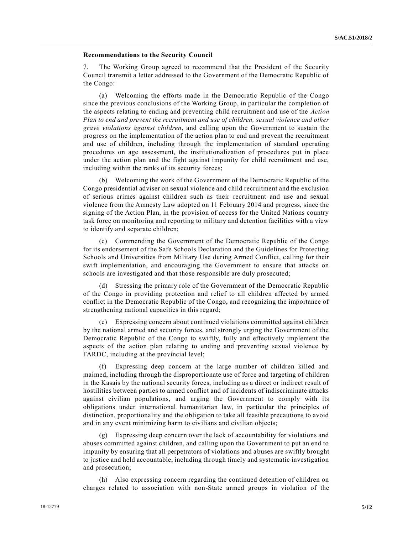#### **Recommendations to the Security Council**

7. The Working Group agreed to recommend that the President of the Security Council transmit a letter addressed to the Government of the Democratic Republic of the Congo:

(a) Welcoming the efforts made in the Democratic Republic of the Congo since the previous conclusions of the Working Group, in particular the completion of the aspects relating to ending and preventing child recruitment and use of the *Action Plan to end and prevent the recruitment and use of children, sexual violence and other grave violations against children*, and calling upon the Government to sustain the progress on the implementation of the action plan to end and prevent the recruitment and use of children, including through the implementation of standard operating procedures on age assessment, the institutionalization of procedures put in place under the action plan and the fight against impunity for child recruitment and use, including within the ranks of its security forces;

(b) Welcoming the work of the Government of the Democratic Republic of the Congo presidential adviser on sexual violence and child recruitment and the exclusion of serious crimes against children such as their recruitment and use and sexual violence from the Amnesty Law adopted on 11 February 2014 and progress, since the signing of the Action Plan, in the provision of access for the United Nations country task force on monitoring and reporting to military and detention facilities with a view to identify and separate children;

(c) Commending the Government of the Democratic Republic of the Congo for its endorsement of the Safe Schools Declaration and the Guidelines for Protecting Schools and Universities from Military Use during Armed Conflict, c alling for their swift implementation, and encouraging the Government to ensure that attacks on schools are investigated and that those responsible are duly prosecuted;

(d) Stressing the primary role of the Government of the Democratic Republic of the Congo in providing protection and relief to all children affected by armed conflict in the Democratic Republic of the Congo, and recognizing the importance of strengthening national capacities in this regard;

(e) Expressing concern about continued violations committed against children by the national armed and security forces, and strongly urging the Government of the Democratic Republic of the Congo to swiftly, fully and effectively implement the aspects of the action plan relating to ending and preventing sexual violence by FARDC, including at the provincial level;

(f) Expressing deep concern at the large number of children killed and maimed, including through the disproportionate use of force and targeting of children in the Kasais by the national security forces, including as a direct or indirect result of hostilities between parties to armed conflict and of incidents of indiscriminate attacks against civilian populations, and urging the Government to comply with its obligations under international humanitarian law, in particular the principles of distinction, proportionality and the obligation to take all feasible precautions to avoid and in any event minimizing harm to civilians and civilian objects;

(g) Expressing deep concern over the lack of accountability for violations and abuses committed against children, and calling upon the Government to put an end to impunity by ensuring that all perpetrators of violations and abuses are swiftly brought to justice and held accountable, including through timely and systematic investigation and prosecution;

(h) Also expressing concern regarding the continued detention of children on charges related to association with non-State armed groups in violation of the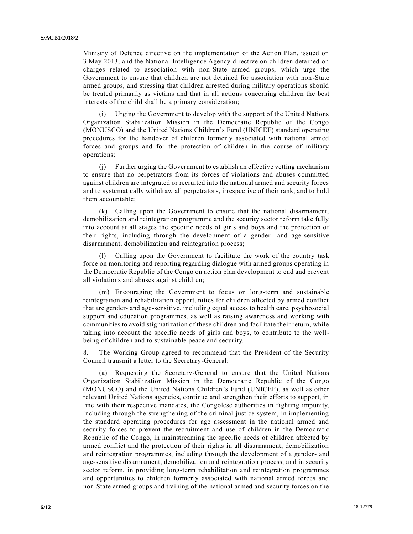Ministry of Defence directive on the implementation of the Action Plan, issued on 3 May 2013, and the National Intelligence Agency directive on children detained on charges related to association with non-State armed groups, which urge the Government to ensure that children are not detained for association with non-State armed groups, and stressing that children arrested during military operations should be treated primarily as victims and that in all actions concerning children the best interests of the child shall be a primary consideration;

(i) Urging the Government to develop with the support of the United Nations Organization Stabilization Mission in the Democratic Republic of the Congo (MONUSCO) and the United Nations Children's Fund (UNICEF) standard operating procedures for the handover of children formerly associated with national armed forces and groups and for the protection of children in the course of military operations;

(j) Further urging the Government to establish an effective vetting mechanism to ensure that no perpetrators from its forces of violations and abuses committed against children are integrated or recruited into the national armed and security forces and to systematically withdraw all perpetrators, irrespective of their rank, and to hold them accountable;

(k) Calling upon the Government to ensure that the national disarmament, demobilization and reintegration programme and the security sector reform take fully into account at all stages the specific needs of girls and boys and the protection of their rights, including through the development of a gender- and age-sensitive disarmament, demobilization and reintegration process;

Calling upon the Government to facilitate the work of the country task force on monitoring and reporting regarding dialogue with armed groups operating in the Democratic Republic of the Congo on action plan development to end and prevent all violations and abuses against children;

(m) Encouraging the Government to focus on long-term and sustainable reintegration and rehabilitation opportunities for children affected by armed conflict that are gender- and age-sensitive, including equal access to health care, psychosocial support and education programmes, as well as raising awareness and working with communities to avoid stigmatization of these children and facilitate their return, while taking into account the specific needs of girls and boys, to contribute to the wellbeing of children and to sustainable peace and security.

8. The Working Group agreed to recommend that the President of the Security Council transmit a letter to the Secretary-General:

(a) Requesting the Secretary-General to ensure that the United Nations Organization Stabilization Mission in the Democratic Republic of the Congo (MONUSCO) and the United Nations Children's Fund (UNICEF), as well as other relevant United Nations agencies, continue and strengthen their efforts to support, in line with their respective mandates, the Congolese authorities in fighting impunity, including through the strengthening of the criminal justice system, in implementing the standard operating procedures for age assessment in the national armed and security forces to prevent the recruitment and use of children in the Democ ratic Republic of the Congo, in mainstreaming the specific needs of children affected by armed conflict and the protection of their rights in all disarmament, demobilization and reintegration programmes, including through the development of a gender- and age-sensitive disarmament, demobilization and reintegration process, and in security sector reform, in providing long-term rehabilitation and reintegration programmes and opportunities to children formerly associated with national armed forces and non-State armed groups and training of the national armed and security forces on the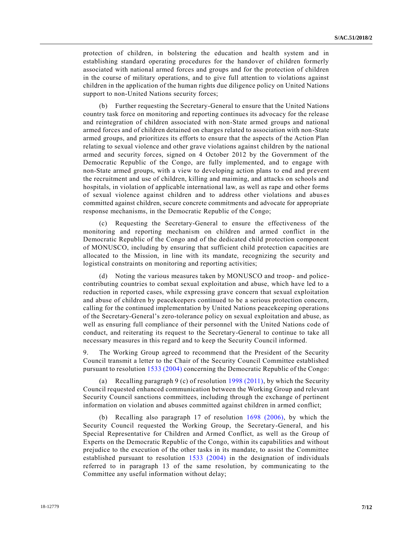protection of children, in bolstering the education and health system and in establishing standard operating procedures for the handover of children formerly associated with national armed forces and groups and for the protection of children in the course of military operations, and to give full attention to violations against children in the application of the human rights due diligence policy on United Nations support to non-United Nations security forces;

(b) Further requesting the Secretary-General to ensure that the United Nations country task force on monitoring and reporting continues its advocacy for the release and reintegration of children associated with non-State armed groups and national armed forces and of children detained on charges related to association with non-State armed groups, and prioritizes its efforts to ensure that the aspects of the Action Plan relating to sexual violence and other grave violations against children by the national armed and security forces, signed on 4 October 2012 by the Government of the Democratic Republic of the Congo, are fully implemented, and to engage with non-State armed groups, with a view to developing action plans to end and prevent the recruitment and use of children, killing and maiming, and attacks on schools and hospitals, in violation of applicable international law, as well as rape and other forms of sexual violence against children and to address other violations and abus es committed against children, secure concrete commitments and advocate for appropriate response mechanisms, in the Democratic Republic of the Congo;

(c) Requesting the Secretary-General to ensure the effectiveness of the monitoring and reporting mechanism on children and armed conflict in the Democratic Republic of the Congo and of the dedicated child protection component of MONUSCO, including by ensuring that sufficient child protection capacities are allocated to the Mission, in line with its mandate, recognizing the security and logistical constraints on monitoring and reporting activities;

(d) Noting the various measures taken by MONUSCO and troop- and policecontributing countries to combat sexual exploitation and abuse, which have led to a reduction in reported cases, while expressing grave concern that sexual exploitation and abuse of children by peacekeepers continued to be a serious protection concern, calling for the continued implementation by United Nations peacekeeping operations of the Secretary-General's zero-tolerance policy on sexual exploitation and abuse, as well as ensuring full compliance of their personnel with the United Nations code of conduct, and reiterating its request to the Secretary-General to continue to take all necessary measures in this regard and to keep the Security Council informed.

9. The Working Group agreed to recommend that the President of the Security Council transmit a letter to the Chair of the Security Council Committee established pursuant to resolution [1533 \(2004\)](https://undocs.org/S/RES/1533(2004)) concerning the Democratic Republic of the Congo:

(a) Recalling paragraph 9 (c) of resolution [1998 \(2011\),](https://undocs.org/S/RES/1998(2011)) by which the Security Council requested enhanced communication between the Working Group and relevant Security Council sanctions committees, including through the exchange of pertinent information on violation and abuses committed against children in armed conflict;

(b) Recalling also paragraph 17 of resolution [1698 \(2006\),](https://undocs.org/S/RES/1698(2006)) by which the Security Council requested the Working Group, the Secretary-General, and his Special Representative for Children and Armed Conflict, as well as the Group of Experts on the Democratic Republic of the Congo, within its capabilities and without prejudice to the execution of the other tasks in its mandate, to assist the Committee established pursuant to resolution [1533 \(2004\)](https://undocs.org/S/RES/1533(2004)) in the designation of individuals referred to in paragraph 13 of the same resolution, by communicating to the Committee any useful information without delay;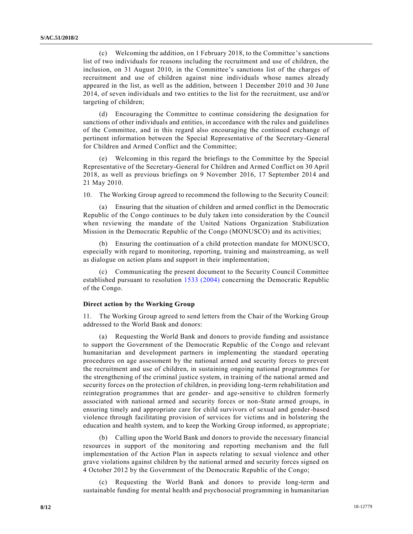(c) Welcoming the addition, on 1 February 2018, to the Committee's sanctions list of two individuals for reasons including the recruitment and use of children, the inclusion, on 31 August 2010, in the Committee's sanctions list of the charges of recruitment and use of children against nine individuals whose names already appeared in the list, as well as the addition, between 1 December 2010 and 30 June 2014, of seven individuals and two entities to the list for the recruitment, use and/or targeting of children;

(d) Encouraging the Committee to continue considering the designation for sanctions of other individuals and entities, in accordance with the rules and guidelines of the Committee, and in this regard also encouraging the continued exchange of pertinent information between the Special Representative of the Secretary-General for Children and Armed Conflict and the Committee;

(e) Welcoming in this regard the briefings to the Committee by the Special Representative of the Secretary-General for Children and Armed Conflict on 30 April 2018, as well as previous briefings on 9 November 2016, 17 September 2014 and 21 May 2010.

10. The Working Group agreed to recommend the following to the Security Council:

(a) Ensuring that the situation of children and armed conflict in the Democratic Republic of the Congo continues to be duly taken into consideration by the Council when reviewing the mandate of the United Nations Organization Stabilization Mission in the Democratic Republic of the Congo (MONUSCO) and its activities;

(b) Ensuring the continuation of a child protection mandate for MONUSCO, especially with regard to monitoring, reporting, training and mainstreaming, as well as dialogue on action plans and support in their implementation;

(c) Communicating the present document to the Security Council Committee established pursuant to resolution [1533 \(2004\)](https://undocs.org/S/RES/1533(2004)) concerning the Democratic Republic of the Congo.

### **Direct action by the Working Group**

11. The Working Group agreed to send letters from the Chair of the Working Group addressed to the World Bank and donors:

(a) Requesting the World Bank and donors to provide funding and assistance to support the Government of the Democratic Republic of the Congo and relevant humanitarian and development partners in implementing the standard operating procedures on age assessment by the national armed and security forces to prevent the recruitment and use of children, in sustaining ongoing national programmes for the strengthening of the criminal justice system, in training of the national armed and security forces on the protection of children, in providing long-term rehabilitation and reintegration programmes that are gender- and age-sensitive to children formerly associated with national armed and security forces or non-State armed groups, in ensuring timely and appropriate care for child survivors of sexual and gender-based violence through facilitating provision of services for victims and in bolstering the education and health system, and to keep the Working Group informed, as appropriate ;

(b) Calling upon the World Bank and donors to provide the necessary financial resources in support of the monitoring and reporting mechanism and the full implementation of the Action Plan in aspects relating to sexual violence and other grave violations against children by the national armed and security forces signed on 4 October 2012 by the Government of the Democratic Republic of the Congo;

(c) Requesting the World Bank and donors to provide long-term and sustainable funding for mental health and psychosocial programming in humanitarian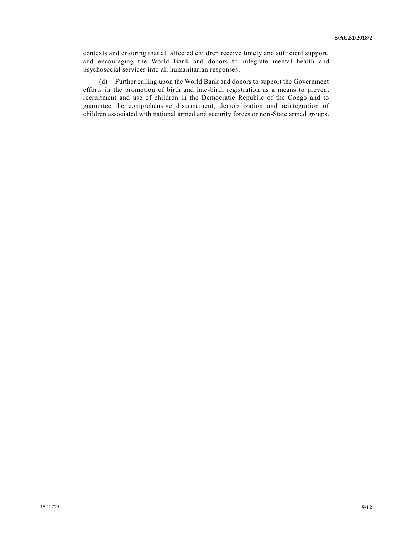contexts and ensuring that all affected children receive timely and sufficient support, and encouraging the World Bank and donors to integrate mental health and psychosocial services into all humanitarian responses;

(d) Further calling upon the World Bank and donors to support the Government efforts in the promotion of birth and late-birth registration as a means to prevent recruitment and use of children in the Democratic Republic of the Congo and to guarantee the comprehensive disarmament, demobilization and reintegration of children associated with national armed and security forces or non-State armed groups.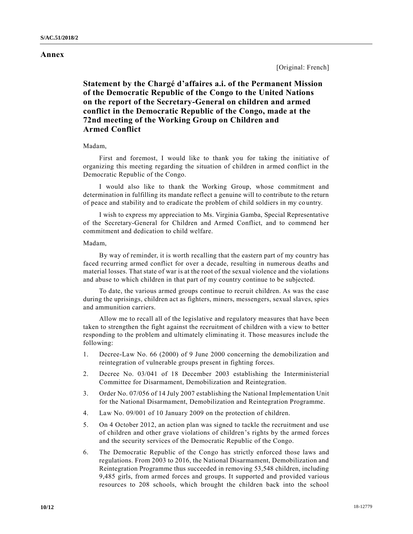### **Annex**

# **Statement by the Chargé d'affaires a.i. of the Permanent Mission of the Democratic Republic of the Congo to the United Nations on the report of the Secretary-General on children and armed conflict in the Democratic Republic of the Congo, made at the 72nd meeting of the Working Group on Children and Armed Conflict**

### Madam,

First and foremost, I would like to thank you for taking the initiative of organizing this meeting regarding the situation of children in armed conflict in the Democratic Republic of the Congo.

I would also like to thank the Working Group, whose commitment and determination in fulfilling its mandate reflect a genuine will to contribute to the return of peace and stability and to eradicate the problem of child soldiers in my co untry.

I wish to express my appreciation to Ms. Virginia Gamba, Special Representative of the Secretary-General for Children and Armed Conflict, and to commend her commitment and dedication to child welfare.

#### Madam,

By way of reminder, it is worth recalling that the eastern part of my country has faced recurring armed conflict for over a decade, resulting in numerous deaths and material losses. That state of war is at the root of the sexual violence and the violations and abuse to which children in that part of my country continue to be subjected.

To date, the various armed groups continue to recruit children. As was the case during the uprisings, children act as fighters, miners, messengers, sexual slaves, spies and ammunition carriers.

Allow me to recall all of the legislative and regulatory measures that have been taken to strengthen the fight against the recruitment of children with a view to better responding to the problem and ultimately eliminating it. Those measures include the following:

- 1. Decree-Law No. 66 (2000) of 9 June 2000 concerning the demobilization and reintegration of vulnerable groups present in fighting forces.
- 2. Decree No. 03/041 of 18 December 2003 establishing the Interministerial Committee for Disarmament, Demobilization and Reintegration.
- 3. Order No. 07/056 of 14 July 2007 establishing the National Implementation Unit for the National Disarmament, Demobilization and Reintegration Programme.
- 4. Law No. 09/001 of 10 January 2009 on the protection of children.
- 5. On 4 October 2012, an action plan was signed to tackle the recruitment and use of children and other grave violations of children's rights by the armed forces and the security services of the Democratic Republic of the Congo.
- 6. The Democratic Republic of the Congo has strictly enforced those laws and regulations. From 2003 to 2016, the National Disarmament, Demobilization and Reintegration Programme thus succeeded in removing 53,548 children, including 9,485 girls, from armed forces and groups. It supported and provided various resources to 208 schools, which brought the children back into the school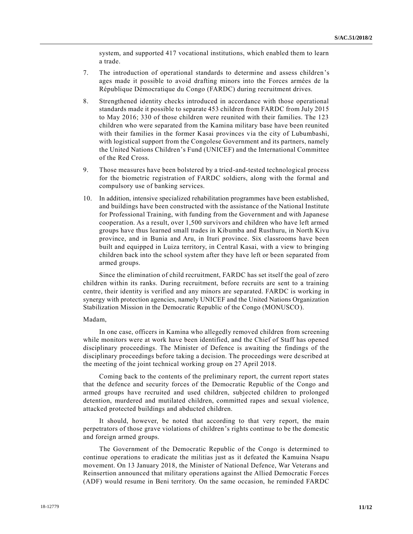system, and supported 417 vocational institutions, which enabled them to learn a trade.

- 7. The introduction of operational standards to determine and assess children's ages made it possible to avoid drafting minors into the Forces armées de la République Démocratique du Congo (FARDC) during recruitment drives.
- 8. Strengthened identity checks introduced in accordance with those operational standards made it possible to separate 453 children from FARDC from July 2015 to May 2016; 330 of those children were reunited with their families. The 123 children who were separated from the Kamina military base have been reunited with their families in the former Kasai provinces via the city of Lubumbashi, with logistical support from the Congolese Government and its partners, namely the United Nations Children's Fund (UNICEF) and the International Committee of the Red Cross.
- 9. Those measures have been bolstered by a tried-and-tested technological process for the biometric registration of FARDC soldiers, along with the formal and compulsory use of banking services.
- 10. In addition, intensive specialized rehabilitation programmes have been established, and buildings have been constructed with the assistance of the National Institute for Professional Training, with funding from the Government and with Japanese cooperation. As a result, over 1,500 survivors and children who have left armed groups have thus learned small trades in Kibumba and Rusthuru, in North Kivu province, and in Bunia and Aru, in Ituri province. Six classrooms have been built and equipped in Luiza territory, in Central Kasai, with a view to bringing children back into the school system after they have left or been separated from armed groups.

Since the elimination of child recruitment, FARDC has set itself the goal of zero children within its ranks. During recruitment, before recruits are sent to a training centre, their identity is verified and any minors are separated. FARDC is working in synergy with protection agencies, namely UNICEF and the United Nations Organization Stabilization Mission in the Democratic Republic of the Congo (MONUSCO).

#### Madam,

In one case, officers in Kamina who allegedly removed children from screening while monitors were at work have been identified, and the Chief of Staff has opened disciplinary proceedings. The Minister of Defence is awaiting the findings of the disciplinary proceedings before taking a decision. The proceedings were de scribed at the meeting of the joint technical working group on 27 April 2018.

Coming back to the contents of the preliminary report, the current report states that the defence and security forces of the Democratic Republic of the Congo and armed groups have recruited and used children, subjected children to prolonged detention, murdered and mutilated children, committed rapes and sexual violence, attacked protected buildings and abducted children.

It should, however, be noted that according to that very report, the main perpetrators of those grave violations of children's rights continue to be the domestic and foreign armed groups.

The Government of the Democratic Republic of the Congo is determined to continue operations to eradicate the militias just as it defeated the Kamuina Nsapu movement. On 13 January 2018, the Minister of National Defence, War Veterans and Reinsertion announced that military operations against the Allied Democratic Forces (ADF) would resume in Beni territory. On the same occasion, he reminded FARDC